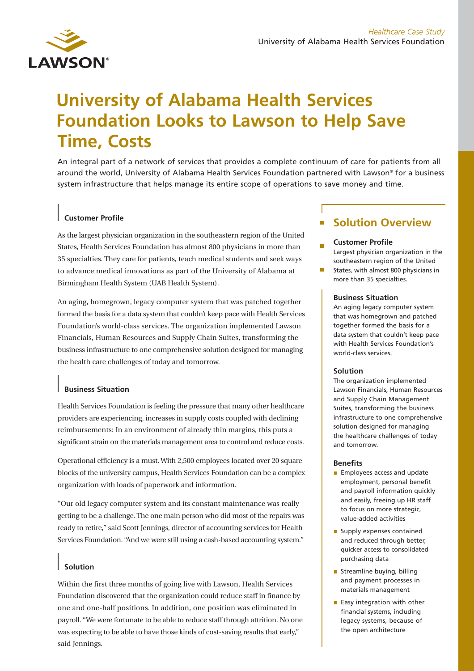

# **University of Alabama Health Services Foundation Looks to Lawson to Help Save Time, Costs**

An integral part of a network of services that provides a complete continuum of care for patients from all around the world, University of Alabama Health Services Foundation partnered with Lawson® for a business system infrastructure that helps manage its entire scope of operations to save money and time.

## **Customer Profile**

As the largest physician organization in the southeastern region of the United States, Health Services Foundation has almost 800 physicians in more than 35 specialties. They care for patients, teach medical students and seek ways to advance medical innovations as part of the University of Alabama at Birmingham Health System (UAB Health System).

An aging, homegrown, legacy computer system that was patched together formed the basis for a data system that couldn't keep pace with Health Services Foundation's world-class services. The organization implemented Lawson Financials, Human Resources and Supply Chain Suites, transforming the business infrastructure to one comprehensive solution designed for managing the health care challenges of today and tomorrow.

## **Business Situation**

Health Services Foundation is feeling the pressure that many other healthcare providers are experiencing, increases in supply costs coupled with declining reimbursements: In an environment of already thin margins, this puts a significant strain on the materials management area to control and reduce costs.

Operational efficiency is a must. With 2,500 employees located over 20 square blocks of the university campus, Health Services Foundation can be a complex organization with loads of paperwork and information.

"Our old legacy computer system and its constant maintenance was really getting to be a challenge. The one main person who did most of the repairs was ready to retire," said Scott Jennings, director of accounting services for Health Services Foundation. "And we were still using a cash-based accounting system."

# **Solution**

Within the first three months of going live with Lawson, Health Services Foundation discovered that the organization could reduce staff in finance by one and one-half positions. In addition, one position was eliminated in payroll. "We were fortunate to be able to reduce staff through attrition. No one was expecting to be able to have those kinds of cost-saving results that early," said Jennings.

# **Solution Overview**

#### **Customer Profile**

Largest physician organization in the southeastern region of the United

 $\mathcal{L}^{\mathcal{A}}$ States, with almost 800 physicians in more than 35 specialties.

#### **Business Situation**

An aging legacy computer system that was homegrown and patched together formed the basis for a data system that couldn't keep pace with Health Services Foundation's world-class services.

#### **Solution**

The organization implemented Lawson Financials, Human Resources and Supply Chain Management Suites, transforming the business infrastructure to one comprehensive solution designed for managing the healthcare challenges of today and tomorrow.

#### **Benefits**

- **Employees access and update** employment, personal benefit and payroll information quickly and easily, freeing up HR staff to focus on more strategic, value-added activities
- Supply expenses contained and reduced through better, quicker access to consolidated purchasing data
- Streamline buying, billing and payment processes in materials management
- $\blacksquare$  Easy integration with other financial systems, including legacy systems, because of the open architecture